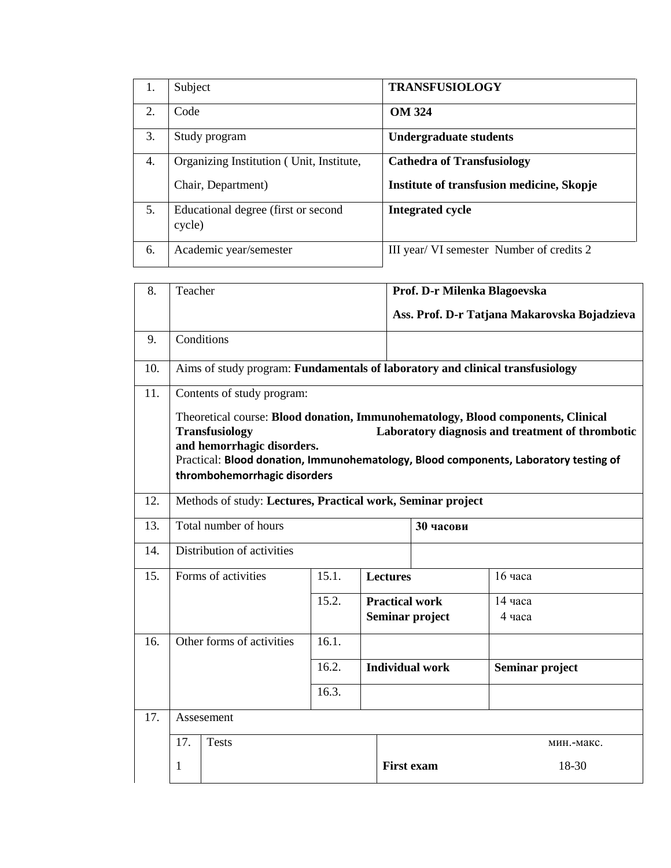| 1. | Subject                                        | <b>TRANSFUSIOLOGY</b>                     |
|----|------------------------------------------------|-------------------------------------------|
| 2. | Code                                           | <b>OM 324</b>                             |
| 3. | Study program                                  | <b>Undergraduate students</b>             |
| 4. | Organizing Institution (Unit, Institute,       | <b>Cathedra of Transfusiology</b>         |
|    | Chair, Department)                             | Institute of transfusion medicine, Skopje |
| 5. | Educational degree (first or second)<br>cycle) | <b>Integrated cycle</b>                   |
| 6. | Academic year/semester                         | III year/ VI semester Number of credits 2 |

| 8.  | Teacher                                                                                                                                                                                                                                                                                                             |                     | Prof. D-r Milenka Blagoevska |                                                             |                   |                 |                                              |
|-----|---------------------------------------------------------------------------------------------------------------------------------------------------------------------------------------------------------------------------------------------------------------------------------------------------------------------|---------------------|------------------------------|-------------------------------------------------------------|-------------------|-----------------|----------------------------------------------|
|     |                                                                                                                                                                                                                                                                                                                     |                     |                              |                                                             |                   |                 | Ass. Prof. D-r Tatjana Makarovska Bojadzieva |
| 9.  |                                                                                                                                                                                                                                                                                                                     | Conditions          |                              |                                                             |                   |                 |                                              |
| 10. | Aims of study program: Fundamentals of laboratory and clinical transfusiology                                                                                                                                                                                                                                       |                     |                              |                                                             |                   |                 |                                              |
| 11. | Contents of study program:                                                                                                                                                                                                                                                                                          |                     |                              |                                                             |                   |                 |                                              |
|     | Theoretical course: Blood donation, Immunohematology, Blood components, Clinical<br>Laboratory diagnosis and treatment of thrombotic<br><b>Transfusiology</b><br>and hemorrhagic disorders.<br>Practical: Blood donation, Immunohematology, Blood components, Laboratory testing of<br>thrombohemorrhagic disorders |                     |                              |                                                             |                   |                 |                                              |
| 12. | Methods of study: Lectures, Practical work, Seminar project                                                                                                                                                                                                                                                         |                     |                              |                                                             |                   |                 |                                              |
| 13. | Total number of hours                                                                                                                                                                                                                                                                                               |                     |                              |                                                             | 30 часови         |                 |                                              |
| 14. | Distribution of activities                                                                                                                                                                                                                                                                                          |                     |                              |                                                             |                   |                 |                                              |
| 15. |                                                                                                                                                                                                                                                                                                                     | Forms of activities | 15.1.                        | <b>Lectures</b><br><b>Practical work</b><br>Seminar project |                   |                 | 16 часа                                      |
|     |                                                                                                                                                                                                                                                                                                                     |                     | 15.2.                        |                                                             |                   |                 | 14 часа                                      |
|     |                                                                                                                                                                                                                                                                                                                     |                     |                              |                                                             |                   |                 | 4 часа                                       |
| 16. | Other forms of activities<br>16.1.<br>16.2.                                                                                                                                                                                                                                                                         |                     |                              |                                                             |                   |                 |                                              |
|     |                                                                                                                                                                                                                                                                                                                     |                     | <b>Individual work</b>       |                                                             |                   | Seminar project |                                              |
|     |                                                                                                                                                                                                                                                                                                                     |                     | 16.3.                        |                                                             |                   |                 |                                              |
| 17. | Assesement                                                                                                                                                                                                                                                                                                          |                     |                              |                                                             |                   |                 |                                              |
|     | 17.                                                                                                                                                                                                                                                                                                                 | <b>Tests</b>        |                              |                                                             |                   |                 | мин.-макс.                                   |
|     | 1                                                                                                                                                                                                                                                                                                                   |                     |                              |                                                             | <b>First exam</b> |                 | 18-30                                        |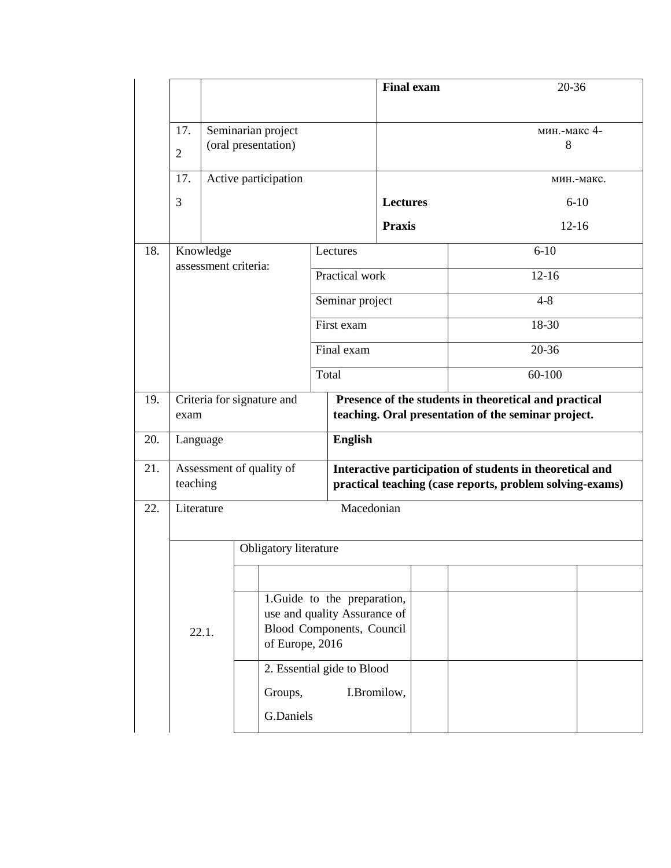|     |                                      |                          |                                                                                                                                                                    |                 | <b>Final exam</b>                                                                                                    |  | 20-36             |  |  |
|-----|--------------------------------------|--------------------------|--------------------------------------------------------------------------------------------------------------------------------------------------------------------|-----------------|----------------------------------------------------------------------------------------------------------------------|--|-------------------|--|--|
|     | 17.<br>$\overline{2}$                |                          | Seminarian project<br>(oral presentation)                                                                                                                          |                 |                                                                                                                      |  | мин.-макс 4-<br>8 |  |  |
|     | 17.                                  |                          | Active participation                                                                                                                                               |                 |                                                                                                                      |  | мин.-макс.        |  |  |
|     | 3                                    |                          |                                                                                                                                                                    |                 | <b>Lectures</b>                                                                                                      |  | $6 - 10$          |  |  |
|     |                                      |                          |                                                                                                                                                                    |                 | <b>Praxis</b>                                                                                                        |  | $12 - 16$         |  |  |
| 18. | Knowledge                            |                          |                                                                                                                                                                    | Lectures        |                                                                                                                      |  | $6 - 10$          |  |  |
|     | assessment criteria:                 |                          |                                                                                                                                                                    | Practical work  |                                                                                                                      |  | $12 - 16$         |  |  |
|     |                                      |                          |                                                                                                                                                                    | Seminar project |                                                                                                                      |  | $4 - 8$           |  |  |
|     |                                      |                          |                                                                                                                                                                    | First exam      |                                                                                                                      |  | 18-30             |  |  |
|     |                                      |                          |                                                                                                                                                                    |                 | Final exam                                                                                                           |  | 20-36             |  |  |
|     |                                      | Total                    |                                                                                                                                                                    |                 |                                                                                                                      |  | 60-100            |  |  |
| 19. | Criteria for signature and<br>exam   |                          |                                                                                                                                                                    |                 | Presence of the students in theoretical and practical<br>teaching. Oral presentation of the seminar project.         |  |                   |  |  |
| 20. | Language                             |                          |                                                                                                                                                                    |                 | <b>English</b>                                                                                                       |  |                   |  |  |
| 21. | Assessment of quality of<br>teaching |                          |                                                                                                                                                                    |                 | Interactive participation of students in theoretical and<br>practical teaching (case reports, problem solving-exams) |  |                   |  |  |
| 22. |                                      | Literature<br>Macedonian |                                                                                                                                                                    |                 |                                                                                                                      |  |                   |  |  |
|     | Obligatory literature                |                          |                                                                                                                                                                    |                 |                                                                                                                      |  |                   |  |  |
|     | 22.1.                                |                          | 1. Guide to the preparation,<br>use and quality Assurance of<br>Blood Components, Council<br>of Europe, 2016<br>2. Essential gide to Blood<br>Groups,<br>G.Daniels |                 | I.Bromilow,                                                                                                          |  |                   |  |  |